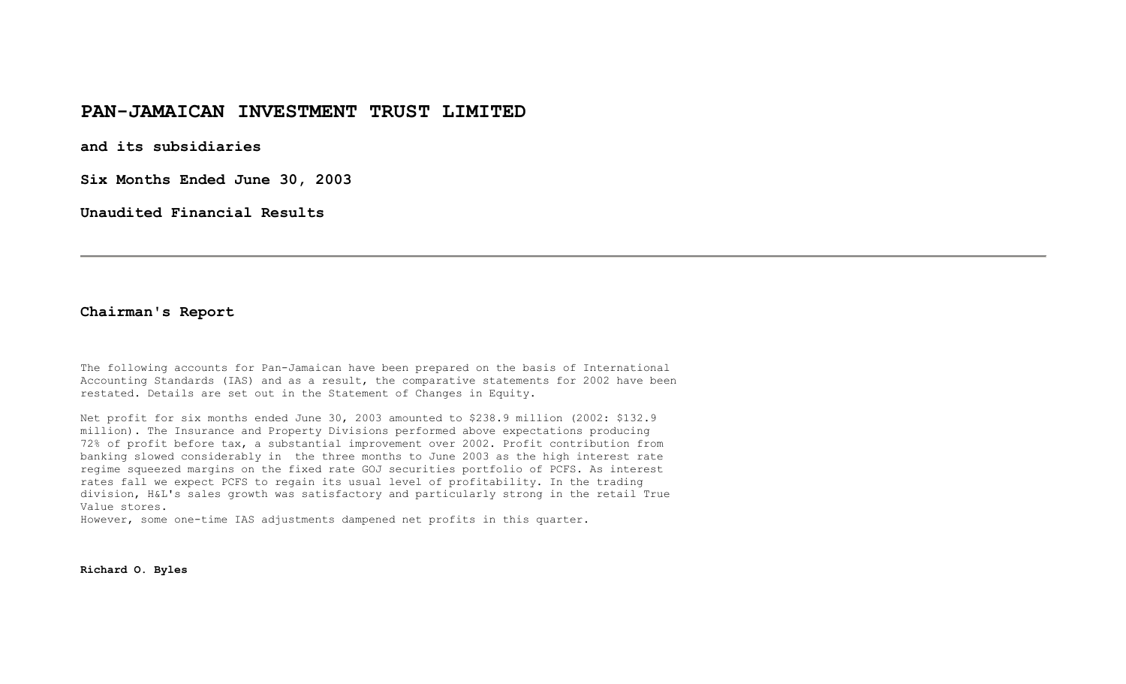### **PAN-JAMAICAN INVESTMENT TRUST LIMITED**

**and its subsidiaries** 

**Six Months Ended June 30, 2003** 

**Unaudited Financial Results** 

### **Chairman's Report**

The following accounts for Pan-Jamaican have been prepared on the basis of International Accounting Standards (IAS) and as a result, the comparative statements for 2002 have been restated. Details are set out in the Statement of Changes in Equity.

Net profit for six months ended June 30, 2003 amounted to \$238.9 million (2002: \$132.9 million). The Insurance and Property Divisions performed above expectations producing 72% of profit before tax, a substantial improvement over 2002. Profit contribution from banking slowed considerably in the three months to June 2003 as the high interest rate regime squeezed margins on the fixed rate GOJ securities portfolio of PCFS. As interest rates fall we expect PCFS to regain its usual level of profitability. In the trading division, H&L's sales growth was satisfactory and particularly strong in the retail True Value stores.

However, some one-time IAS adjustments dampened net profits in this quarter.

**Richard O. Byles**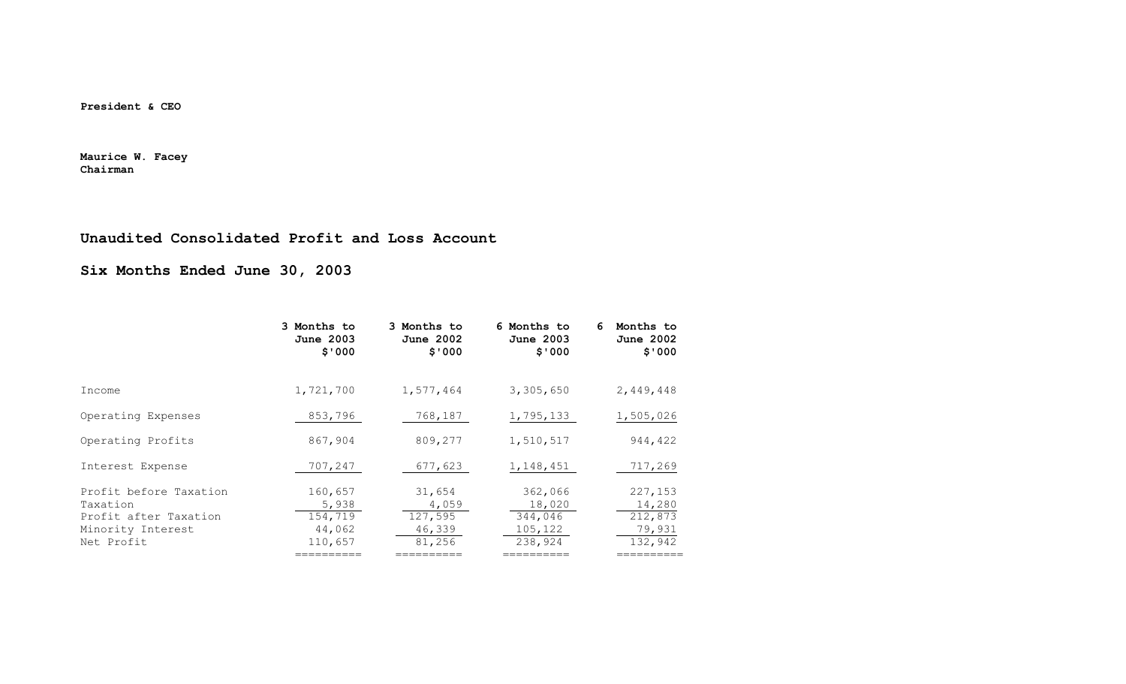**President & CEO** 

**Maurice W. Facey Chairman**

### **Unaudited Consolidated Profit and Loss Account**

**Six Months Ended June 30, 2003** 

| 3 Months to<br>June 2003<br>\$'000               | 3 Months to<br><b>June 2002</b><br>\$'000      | 6 Months to<br>June 2003<br>\$'000                 | Months to<br>6<br><b>June 2002</b><br>\$'000      |
|--------------------------------------------------|------------------------------------------------|----------------------------------------------------|---------------------------------------------------|
| 1,721,700                                        | 1,577,464                                      | 3,305,650                                          | 2,449,448                                         |
| 853,796                                          | 768,187                                        | 1,795,133                                          | 1,505,026                                         |
| 867,904                                          | 809,277                                        | 1,510,517                                          | 944,422                                           |
| 707,247                                          | 677,623                                        | 1,148,451                                          | 717,269                                           |
| 160,657<br>5,938<br>154,719<br>44,062<br>110,657 | 31,654<br>4,059<br>127,595<br>46,339<br>81,256 | 362,066<br>18,020<br>344,046<br>105,122<br>238,924 | 227,153<br>14,280<br>212,873<br>79,931<br>132,942 |
|                                                  |                                                |                                                    |                                                   |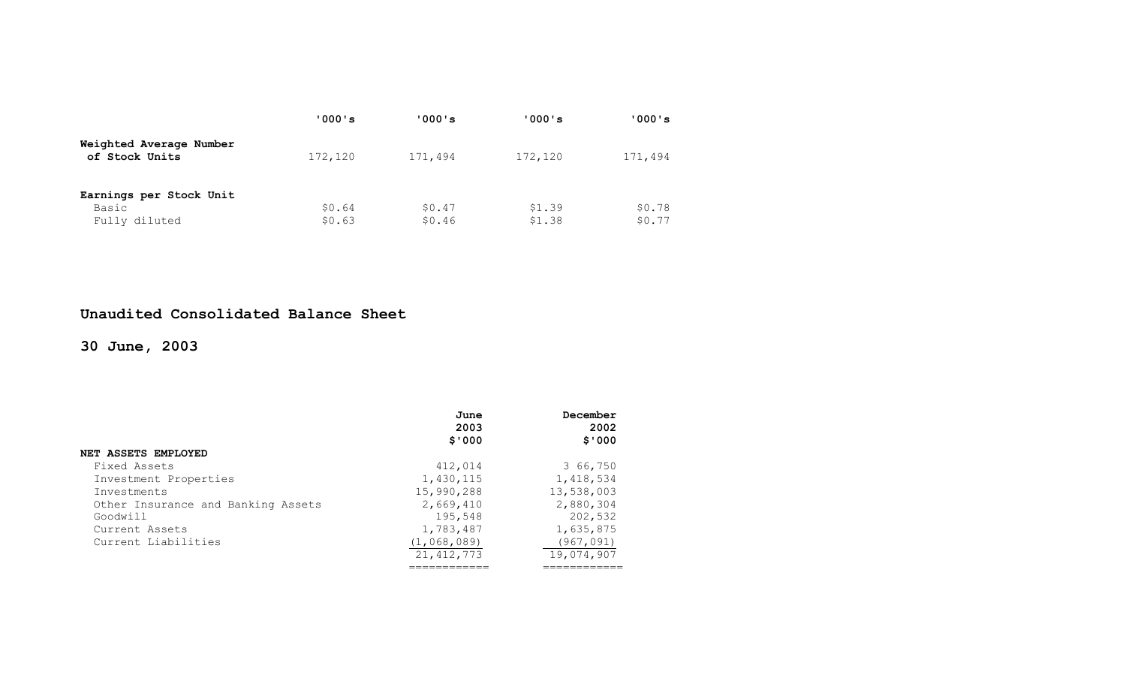|                                           | '000's  | '000's  | '000's  | ' 000 ' s |
|-------------------------------------------|---------|---------|---------|-----------|
| Weighted Average Number<br>of Stock Units | 172,120 | 171,494 | 172,120 | 171,494   |
| Earnings per Stock Unit                   |         |         |         |           |
| Basic                                     | \$0.64  | \$0.47  | \$1.39  | \$0.78    |
| Fully diluted                             | \$0.63  | \$0.46  | \$1.38  | \$0.77    |

### **Unaudited Consolidated Balance Sheet**

**30 June, 2003** 

|                                    | June         | December   |
|------------------------------------|--------------|------------|
|                                    | 2003         | 2002       |
|                                    | \$'000       | \$'000     |
| <b>NET ASSETS EMPLOYED</b>         |              |            |
| Fixed Assets                       | 412,014      | 3 66,750   |
| Investment Properties              | 1,430,115    | 1,418,534  |
| Investments                        | 15,990,288   | 13,538,003 |
| Other Insurance and Banking Assets | 2,669,410    | 2,880,304  |
| Goodwill                           | 195,548      | 202,532    |
| Current Assets                     | 1,783,487    | 1,635,875  |
| Current Liabilities                | (1,068,089)  | (967,091)  |
|                                    | 21, 412, 773 | 19,074,907 |
|                                    |              |            |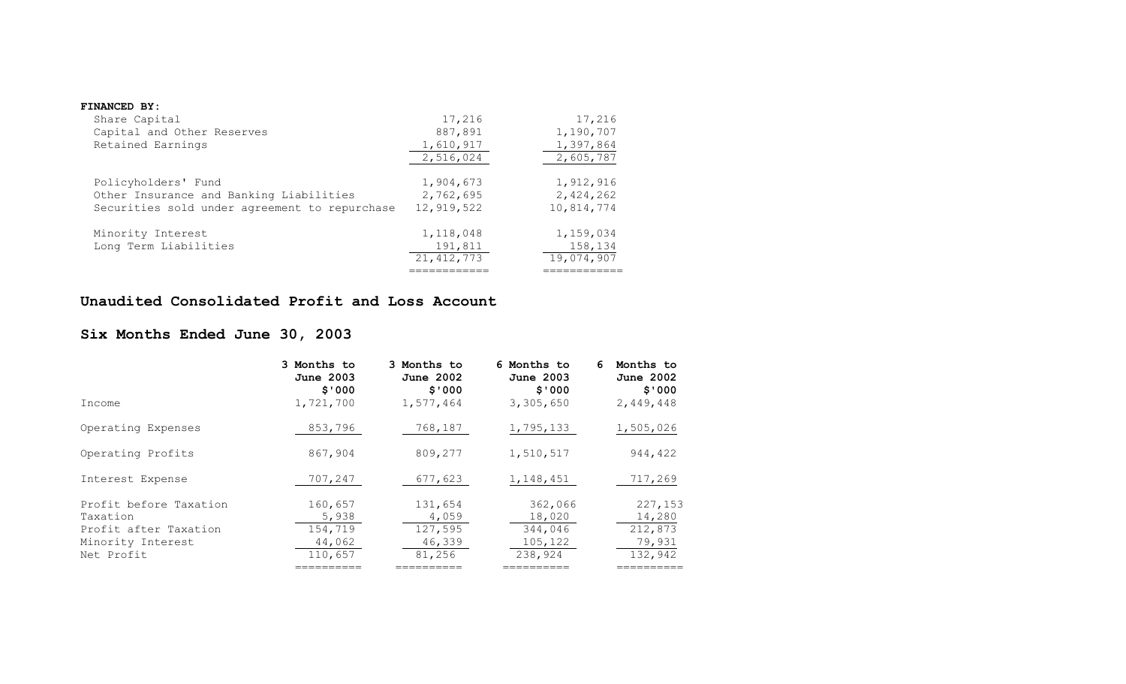#### **FINANCED BY:**

| Share Capital                                 | 17,216       | 17,216     |
|-----------------------------------------------|--------------|------------|
| Capital and Other Reserves                    | 887,891      | 1,190,707  |
| Retained Earnings                             | 1,610,917    | 1,397,864  |
|                                               | 2,516,024    | 2,605,787  |
| Policyholders' Fund                           | 1,904,673    | 1,912,916  |
| Other Insurance and Banking Liabilities       | 2,762,695    | 2,424,262  |
| Securities sold under agreement to repurchase | 12,919,522   | 10,814,774 |
| Minority Interest                             | 1,118,048    | 1,159,034  |
| Long Term Liabilities                         | 191,811      | 158,134    |
|                                               | 21, 412, 773 | 19,074,907 |
|                                               |              |            |

### **Unaudited Consolidated Profit and Loss Account**

## **Six Months Ended June 30, 2003**

|                                                                                                | 3 Months to<br>June 2003<br>\$'000                             | 3 Months to<br><b>June 2002</b><br>\$'000                    | 6 Months to<br>June 2003<br>\$'000                               | Months to<br>6<br><b>June 2002</b><br>\$'000                    |
|------------------------------------------------------------------------------------------------|----------------------------------------------------------------|--------------------------------------------------------------|------------------------------------------------------------------|-----------------------------------------------------------------|
| Income                                                                                         | 1,721,700                                                      | 1,577,464                                                    | 3,305,650                                                        | 2,449,448                                                       |
| Operating Expenses                                                                             | 853,796                                                        | 768,187                                                      | 1,795,133                                                        | 1,505,026                                                       |
| Operating Profits                                                                              | 867,904                                                        | 809,277                                                      | 1,510,517                                                        | 944,422                                                         |
| Interest Expense                                                                               | 707,247                                                        | 677,623                                                      | 1,148,451                                                        | 717,269                                                         |
| Profit before Taxation<br>Taxation<br>Profit after Taxation<br>Minority Interest<br>Net Profit | 160,657<br>5,938<br>154,719<br>44,062<br>110,657<br>:========= | 131,654<br>4,059<br>127,595<br>46,339<br>81,256<br>========= | 362,066<br>18,020<br>344,046<br>105,122<br>238,924<br>:========= | 227,153<br>14,280<br>212,873<br>79,931<br>132,942<br>:========= |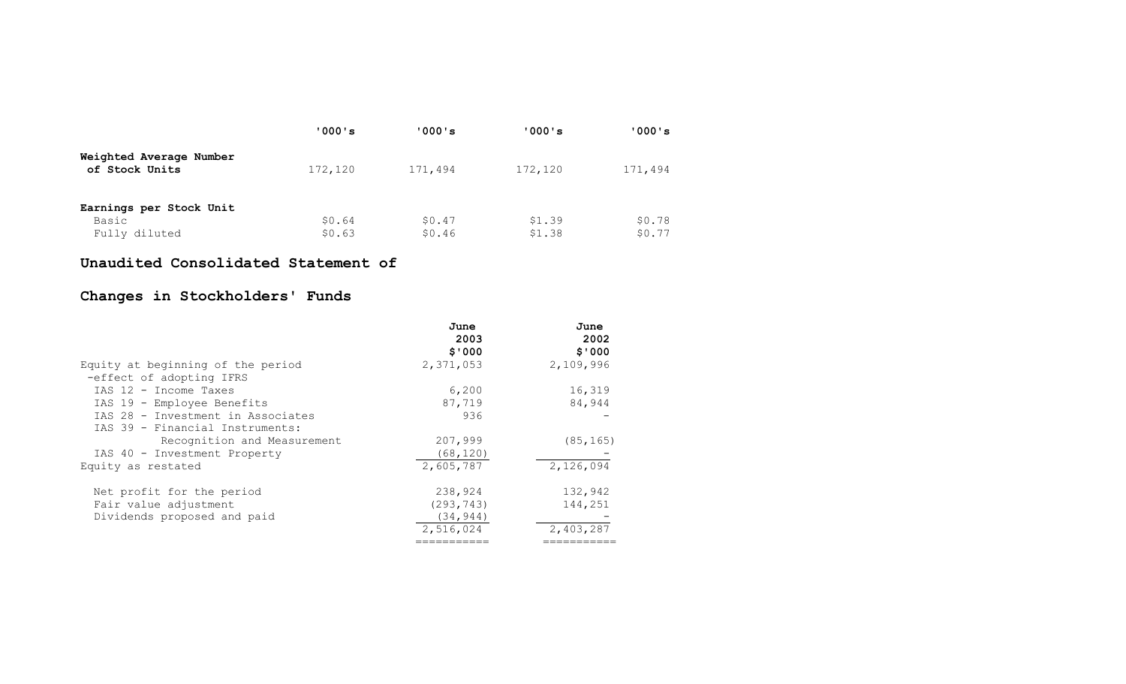|                                           | '000's  | '000's  | '000's  | '000's  |
|-------------------------------------------|---------|---------|---------|---------|
| Weighted Average Number<br>of Stock Units | 172,120 | 171,494 | 172,120 | 171,494 |
| Earnings per Stock Unit                   |         |         |         |         |
| Basic                                     | \$0.64  | \$0.47  | \$1.39  | \$0.78  |
| Fully diluted                             | \$0.63  | \$0.46  | \$1.38  | \$0.77  |

### **Unaudited Consolidated Statement of**

## **Changes in Stockholders' Funds**

|                                   | June       | June      |
|-----------------------------------|------------|-----------|
|                                   | 2003       | 2002      |
|                                   | \$'000     | \$'000    |
| Equity at beginning of the period | 2,371,053  | 2,109,996 |
| -effect of adopting IFRS          |            |           |
| IAS 12 - Income Taxes             | 6,200      | 16,319    |
| IAS 19 - Employee Benefits        | 87,719     | 84,944    |
| IAS 28 - Investment in Associates | 936        |           |
| IAS 39 - Financial Instruments:   |            |           |
| Recognition and Measurement       | 207,999    | (85, 165) |
| IAS 40 - Investment Property      | (68, 120)  |           |
| Equity as restated                | 2,605,787  | 2,126,094 |
| Net profit for the period         | 238,924    | 132,942   |
| Fair value adjustment             | (293, 743) | 144,251   |
| Dividends proposed and paid       | (34, 944)  |           |
|                                   | 2,516,024  | 2,403,287 |
|                                   |            |           |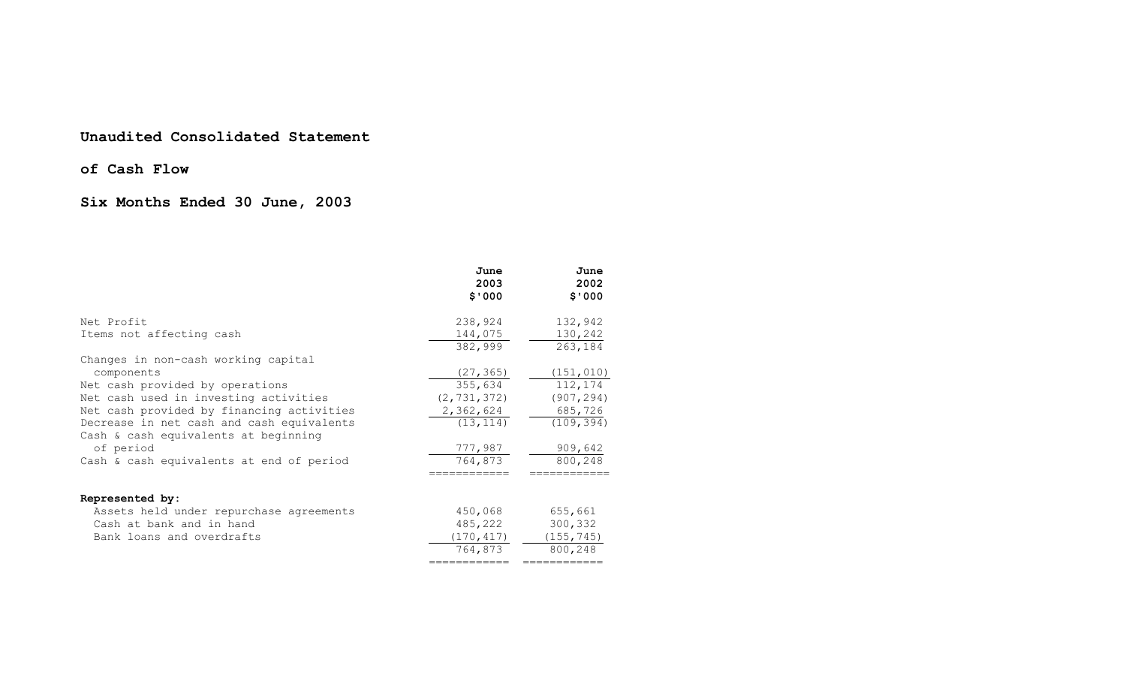#### **Unaudited Consolidated Statement**

### **of Cash Flow**

## **Six Months Ended 30 June, 2003**

|                                                                                   | June<br>2003<br>\$'000 | June<br>2002<br>\$'000 |
|-----------------------------------------------------------------------------------|------------------------|------------------------|
| Net Profit                                                                        | 238,924                | 132,942                |
| Items not affecting cash                                                          | 144,075<br>382,999     | 130,242<br>263,184     |
| Changes in non-cash working capital                                               |                        |                        |
| components                                                                        | (27, 365)              | (151, 010)             |
| Net cash provided by operations                                                   | 355,634                | 112,174                |
| Net cash used in investing activities                                             | (2, 731, 372)          | (907, 294)             |
| Net cash provided by financing activities                                         | 2,362,624              | 685,726                |
| Decrease in net cash and cash equivalents<br>Cash & cash equivalents at beginning | (13, 114)              | (109, 394)             |
| of period                                                                         | 777,987                | 909,642                |
| Cash & cash equivalents at end of period                                          | 764,873                | 800,248                |
| Represented by:                                                                   |                        |                        |
| Assets held under repurchase agreements                                           | 450,068                | 655,661                |
| Cash at bank and in hand                                                          | 485,222                | 300,332                |
| Bank loans and overdrafts                                                         | (170, 417)             | (155, 745)             |
|                                                                                   | 764,873                | 800,248                |
|                                                                                   | ============           | ===========            |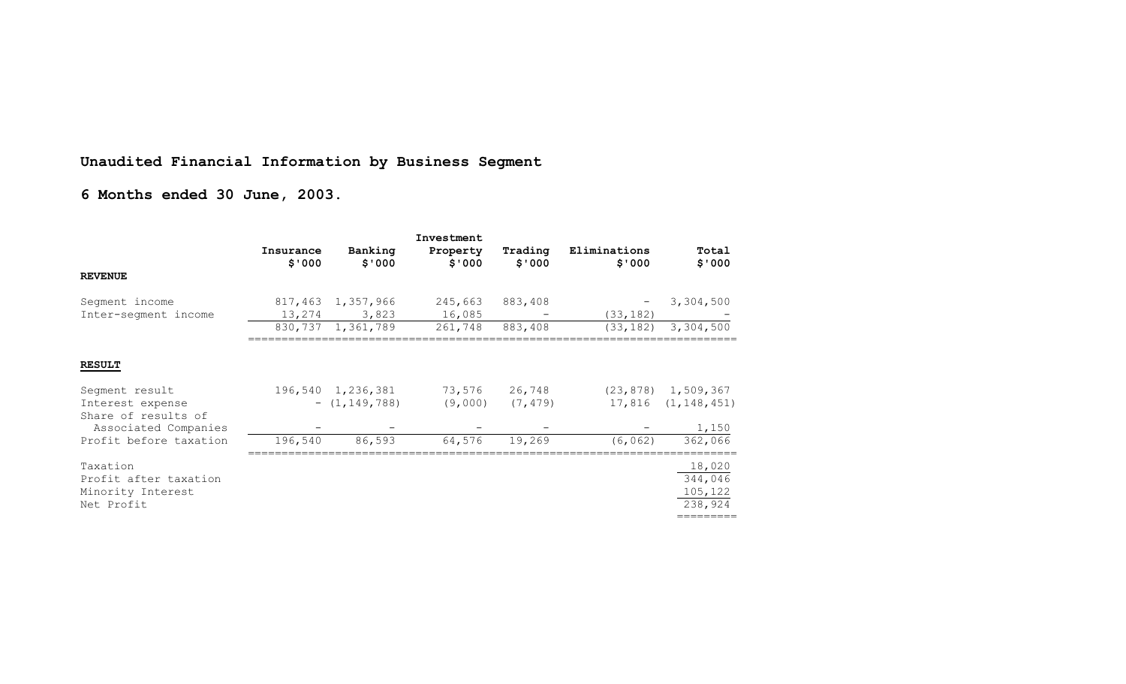# **Unaudited Financial Information by Business Segment**

# **6 Months ended 30 June, 2003.**

|                                             | Investment          |                                       |                    |                    |                        |                                                   |
|---------------------------------------------|---------------------|---------------------------------------|--------------------|--------------------|------------------------|---------------------------------------------------|
|                                             | Insurance<br>\$'000 | Banking<br>\$'000                     | Property<br>\$'000 | Trading<br>\$'000  | Eliminations<br>\$'000 | Total<br>\$'000                                   |
| <b>REVENUE</b>                              |                     |                                       |                    |                    |                        |                                                   |
| Segment income                              |                     | 817,463 1,357,966                     | 245,663            | 883,408            |                        | 3,304,500                                         |
| Inter-segment income                        |                     | 13,274 3,823                          | 16,085             |                    | (33, 182)              |                                                   |
|                                             |                     | 830, 737 1, 361, 789                  | 261,748            | 883,408            |                        | $(33, 182)$ 3, 304, 500                           |
| <b>RESULT</b>                               |                     |                                       |                    |                    |                        |                                                   |
| Segment result<br>Interest expense          |                     | 196,540 1,236,381<br>$ (1, 149, 788)$ | 73,576<br>(9,000)  | 26,748<br>(7, 479) |                        | $(23, 878)$ 1, 509, 367<br>$17,816$ $(1,148,451)$ |
| Share of results of<br>Associated Companies |                     |                                       |                    |                    |                        | 1,150                                             |
| Profit before taxation                      | 196,540             | 86,593                                | 64,576             | 19,269             | (6, 062)               | 362,066                                           |
| Taxation                                    |                     |                                       |                    |                    |                        | 18,020                                            |
| Profit after taxation                       |                     |                                       |                    |                    |                        | 344,046                                           |
| Minority Interest                           |                     |                                       |                    |                    |                        | 105,122                                           |
| Net Profit                                  |                     |                                       |                    |                    |                        | 238,924                                           |
|                                             |                     |                                       |                    |                    |                        | =========                                         |